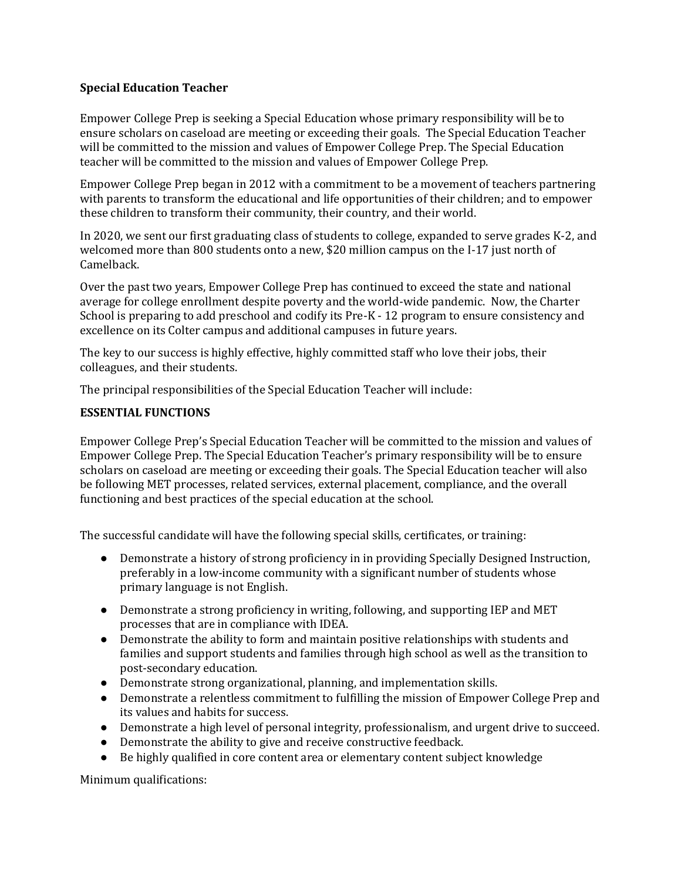## **Special Education Teacher**

Empower College Prep is seeking a Special Education whose primary responsibility will be to ensure scholars on caseload are meeting or exceeding their goals. The Special Education Teacher will be committed to the mission and values of Empower College Prep. The Special Education teacher will be committed to the mission and values of Empower College Prep.

Empower College Prep began in 2012 with a commitment to be a movement of teachers partnering with parents to transform the educational and life opportunities of their children; and to empower these children to transform their community, their country, and their world.

In 2020, we sent our first graduating class of students to college, expanded to serve grades K-2, and welcomed more than 800 students onto a new, \$20 million campus on the I-17 just north of Camelback.

Over the past two years, Empower College Prep has continued to exceed the state and national average for college enrollment despite poverty and the world-wide pandemic. Now, the Charter School is preparing to add preschool and codify its Pre-K - 12 program to ensure consistency and excellence on its Colter campus and additional campuses in future years.

The key to our success is highly effective, highly committed staff who love their jobs, their colleagues, and their students.

The principal responsibilities of the Special Education Teacher will include:

## **ESSENTIAL FUNCTIONS**

Empower College Prep's Special Education Teacher will be committed to the mission and values of Empower College Prep. The Special Education Teacher's primary responsibility will be to ensure scholars on caseload are meeting or exceeding their goals. The Special Education teacher will also be following MET processes, related services, external placement, compliance, and the overall functioning and best practices of the special education at the school.

The successful candidate will have the following special skills, certificates, or training:

- Demonstrate a history of strong proficiency in in providing Specially Designed Instruction, preferably in a low-income community with a significant number of students whose primary language is not English.
- Demonstrate a strong proficiency in writing, following, and supporting IEP and MET processes that are in compliance with IDEA.
- Demonstrate the ability to form and maintain positive relationships with students and families and support students and families through high school as well as the transition to post-secondary education.
- Demonstrate strong organizational, planning, and implementation skills.
- Demonstrate a relentless commitment to fulfilling the mission of Empower College Prep and its values and habits for success.
- Demonstrate a high level of personal integrity, professionalism, and urgent drive to succeed.
- Demonstrate the ability to give and receive constructive feedback.
- Be highly qualified in core content area or elementary content subject knowledge

Minimum qualifications: